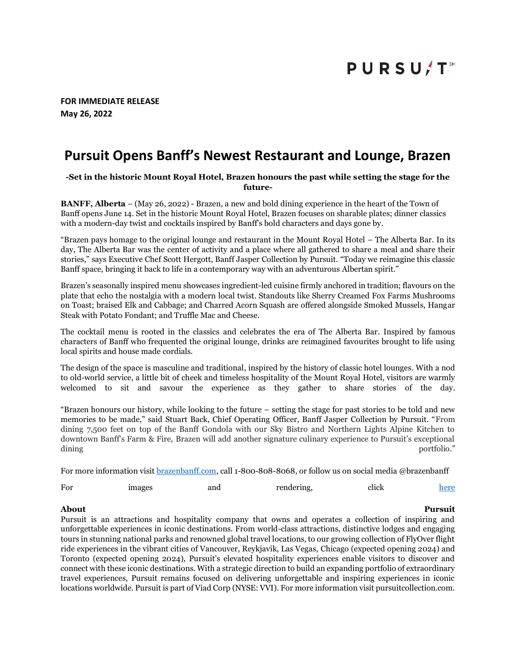# **PURSU/T**

**FOR IMMEDIATE RELEASE May 26, 2022**

## **Pursuit Opens Banff's Newest Restaurant and Lounge, Brazen**

### **-Set in the historic Mount Royal Hotel, Brazen honours the past while setting the stage for the future-**

**BANFF, Alberta** – (May 26, 2022) - Brazen, a new and bold dining experience in the heart of the Town of Banff opens June 14. Set in the historic Mount Royal Hotel, Brazen focuses on sharable plates; dinner classics with a modern-day twist and cocktails inspired by Banff's bold characters and days gone by.

"Brazen pays homage to the original lounge and restaurant in the Mount Royal Hotel – The Alberta Bar. In its day, The Alberta Bar was the center of activity and a place where all gathered to share a meal and share their stories," says Executive Chef Scott Hergott, Banff Jasper Collection by Pursuit. "Today we reimagine this classic Banff space, bringing it back to life in a contemporary way with an adventurous Albertan spirit."

Brazen's seasonally inspired menu showcases ingredient-led cuisine firmly anchored in tradition; flavours on the plate that echo the nostalgia with a modern local twist. Standouts like Sherry Creamed Fox Farms Mushrooms on Toast; braised Elk and Cabbage; and Charred Acorn Squash are offered alongside Smoked Mussels, Hangar Steak with Potato Fondant; and Truffle Mac and Cheese.

The cocktail menu is rooted in the classics and celebrates the era of The Alberta Bar. Inspired by famous characters of Banff who frequented the original lounge, drinks are reimagined favourites brought to life using local spirits and house made cordials.

The design of the space is masculine and traditional, inspired by the history of classic hotel lounges. With a nod to old-world service, a little bit of cheek and timeless hospitality of the Mount Royal Hotel, visitors are warmly welcomed to sit and savour the experience as they gather to share stories of the day.

"Brazen honours our history, while looking to the future – setting the stage for past stories to be told and new memories to be made," said Stuart Back, Chief Operating Officer, Banff Jasper Collection by Pursuit. "From dining 7,500 feet on top of the Banff Gondola with our Sky Bistro and Northern Lights Alpine Kitchen to downtown Banff's Farm & Fire, Brazen will add another signature culinary experience to Pursuit's exceptional dining the controller of the controller of the controller of the controller of the controller of the controller of the controller of the controller of the controller of the controller of the controller of the controller of

For more information visit [brazenbanff.com,](https://www.banffjaspercollection.com/dining/brazen/) call 1-800-808-8068, or follow us on social media @brazenbanff

| For | images | and | rendering, | click | here |
|-----|--------|-----|------------|-------|------|
|-----|--------|-----|------------|-------|------|

Pursuit is an attractions and hospitality company that owns and operates a collection of inspiring and unforgettable experiences in iconic destinations. From world-class attractions, distinctive lodges and engaging tours in stunning national parks and renowned global travel locations, to our growing collection of FlyOver flight ride experiences in the vibrant cities of Vancouver, Reykjavik, Las Vegas, Chicago (expected opening 2024) and Toronto (expected opening 2024), Pursuit's elevated hospitality experiences enable visitors to discover and connect with these iconic destinations. With a strategic direction to build an expanding portfolio of extraordinary travel experiences, Pursuit remains focused on delivering unforgettable and inspiring experiences in iconic locations worldwide. Pursuit is part of Viad Corp (NYSE: VVI). For more information visit pursuitcollection.com.

#### **About Pursuit**